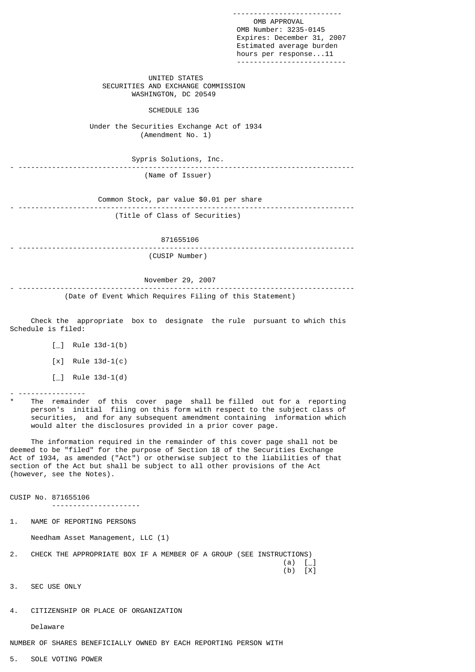-------------------------- OMB APPROVAL OMB Number: 3235-0145 Expires: December 31, 2007 Estimated average burden hours per response...11 -------------------------- UNITED STATES SECURITIES AND EXCHANGE COMMISSION WASHINGTON, DC 20549 SCHEDULE 13G Under the Securities Exchange Act of 1934 (Amendment No. 1) Sypris Solutions, Inc. - -------------------------------------------------------------------------------- (Name of Issuer) Common Stock, par value \$0.01 per share - -------------------------------------------------------------------------------- (Title of Class of Securities) 871655106 - -------------------------------------------------------------------------------- (CUSIP Number) November 29, 2007 - -------------------------------------------------------------------------------- (Date of Event Which Requires Filing of this Statement) Check the appropriate box to designate the rule pursuant to which this Schedule is filed:  $\lceil$  Rule 13d-1(b) [x] Rule 13d-1(c)  $[\ ]$  Rule 13d-1(d) - ---------------- The remainder of this cover page shall be filled out for a reporting person's initial filing on this form with respect to the subject class of securities, and for any subsequent amendment containing information which would alter the disclosures provided in a prior cover page. The information required in the remainder of this cover page shall not be deemed to be "filed" for the purpose of Section 18 of the Securities Exchange Act of 1934, as amended ("Act") or otherwise subject to the liabilities of that section of the Act but shall be subject to all other provisions of the Act (however, see the Notes). CUSIP No. 871655106 --------------------- 1. NAME OF REPORTING PERSONS Needham Asset Management, LLC (1) 2. CHECK THE APPROPRIATE BOX IF A MEMBER OF A GROUP (SEE INSTRUCTIONS)  $(a)$   $\begin{bmatrix} \_ \end{bmatrix}$ (b)  $[X]$ 3. SEC USE ONLY

Delaware

NUMBER OF SHARES BENEFICIALLY OWNED BY EACH REPORTING PERSON WITH

5. SOLE VOTING POWER

4. CITIZENSHIP OR PLACE OF ORGANIZATION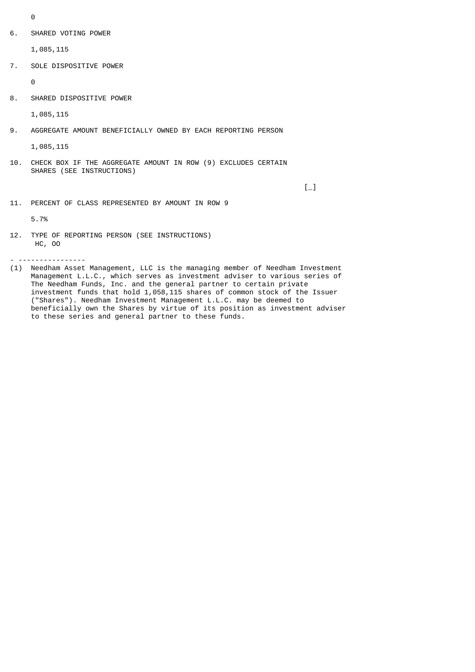- $\Omega$
- 6. SHARED VOTING POWER

1,085,115

7. SOLE DISPOSITIVE POWER

 $\Omega$ 

8. SHARED DISPOSITIVE POWER

1,085,115

9. AGGREGATE AMOUNT BENEFICIALLY OWNED BY EACH REPORTING PERSON

1,085,115

10. CHECK BOX IF THE AGGREGATE AMOUNT IN ROW (9) EXCLUDES CERTAIN SHARES (SEE INSTRUCTIONS)

 $\Box$ 

11. PERCENT OF CLASS REPRESENTED BY AMOUNT IN ROW 9

5.7%

12. TYPE OF REPORTING PERSON (SEE INSTRUCTIONS) HC, OO

- ----------------

(1) Needham Asset Management, LLC is the managing member of Needham Investment Management L.L.C., which serves as investment adviser to various series of The Needham Funds, Inc. and the general partner to certain private investment funds that hold 1,058,115 shares of common stock of the Issuer ("Shares"). Needham Investment Management L.L.C. may be deemed to beneficially own the Shares by virtue of its position as investment adviser to these series and general partner to these funds.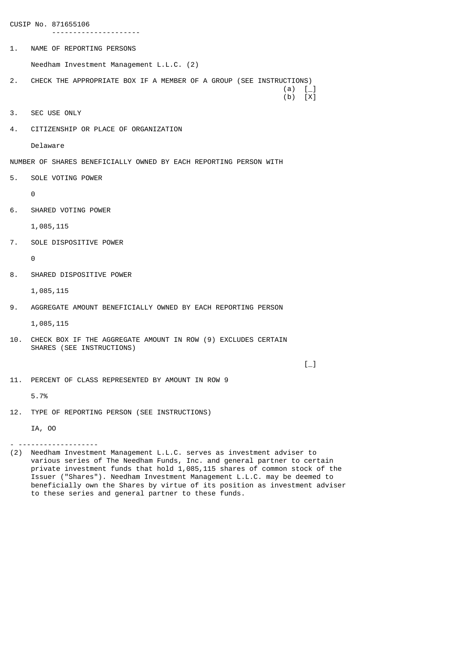CUSIP No. 871655106

1. NAME OF REPORTING PERSONS

Needham Investment Management L.L.C. (2)

- 2. CHECK THE APPROPRIATE BOX IF A MEMBER OF A GROUP (SEE INSTRUCTIONS)<br>\_] (a)<br>b) [X]  $(a)$   $\begin{bmatrix} 1 \end{bmatrix}$ (b)  $[X]$
- 3. SEC USE ONLY
- 4. CITIZENSHIP OR PLACE OF ORGANIZATION

---------------------

Delaware

NUMBER OF SHARES BENEFICIALLY OWNED BY EACH REPORTING PERSON WITH

5. SOLE VOTING POWER

 $\Omega$ 

6. SHARED VOTING POWER

1,085,115

7. SOLE DISPOSITIVE POWER

 $\Theta$ 

8. SHARED DISPOSITIVE POWER

1,085,115

9. AGGREGATE AMOUNT BENEFICIALLY OWNED BY EACH REPORTING PERSON

1,085,115

10. CHECK BOX IF THE AGGREGATE AMOUNT IN ROW (9) EXCLUDES CERTAIN SHARES (SEE INSTRUCTIONS)

 $\Box$ 

11. PERCENT OF CLASS REPRESENTED BY AMOUNT IN ROW 9

5.7%

12. TYPE OF REPORTING PERSON (SEE INSTRUCTIONS)

IA, OO

- -------------------

(2) Needham Investment Management L.L.C. serves as investment adviser to various series of The Needham Funds, Inc. and general partner to certain private investment funds that hold 1,085,115 shares of common stock of the Issuer ("Shares"). Needham Investment Management L.L.C. may be deemed to beneficially own the Shares by virtue of its position as investment adviser to these series and general partner to these funds.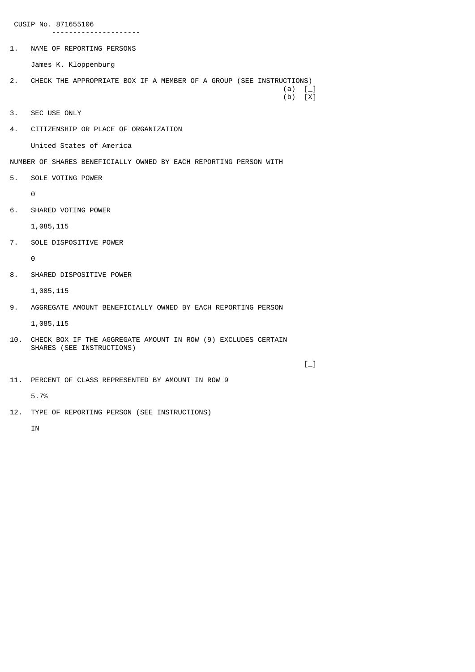CUSIP No. 871655106

---------------------

1. NAME OF REPORTING PERSONS

James K. Kloppenburg

- 2. CHECK THE APPROPRIATE BOX IF A MEMBER OF A GROUP (SEE INSTRUCTIONS)<br>\_\_] (a)<br>(b) [X]  $(a)$   $\begin{bmatrix} 1 \end{bmatrix}$ (b)  $[X]$
- 3. SEC USE ONLY
- 4. CITIZENSHIP OR PLACE OF ORGANIZATION

United States of America

NUMBER OF SHARES BENEFICIALLY OWNED BY EACH REPORTING PERSON WITH

5. SOLE VOTING POWER

 $\Omega$ 

6. SHARED VOTING POWER

1,085,115

7. SOLE DISPOSITIVE POWER

 $\Theta$ 

8. SHARED DISPOSITIVE POWER

1,085,115

9. AGGREGATE AMOUNT BENEFICIALLY OWNED BY EACH REPORTING PERSON

1,085,115

10. CHECK BOX IF THE AGGREGATE AMOUNT IN ROW (9) EXCLUDES CERTAIN SHARES (SEE INSTRUCTIONS)

 $\Box$ 

11. PERCENT OF CLASS REPRESENTED BY AMOUNT IN ROW 9

5.7%

12. TYPE OF REPORTING PERSON (SEE INSTRUCTIONS)

IN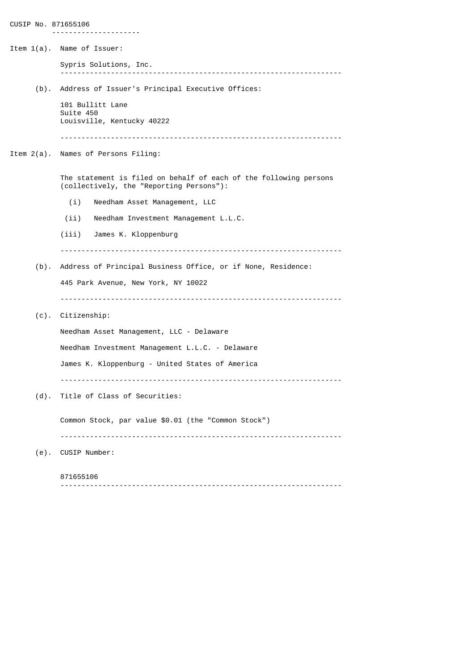|         | Item 1(a). Name of Issuer:                                                                                    |
|---------|---------------------------------------------------------------------------------------------------------------|
|         | Sypris Solutions, Inc.                                                                                        |
| $(b)$ . | Address of Issuer's Principal Executive Offices:                                                              |
|         | 101 Bullitt Lane<br>Suite 450<br>Louisville, Kentucky 40222                                                   |
|         |                                                                                                               |
|         | Item 2(a). Names of Persons Filing:                                                                           |
|         | The statement is filed on behalf of each of the following persons<br>(collectively, the "Reporting Persons"): |
|         | Needham Asset Management, LLC<br>(i)                                                                          |
|         | (ii)<br>Needham Investment Management L.L.C.                                                                  |
|         | (iii)<br>James K. Kloppenburg                                                                                 |
|         |                                                                                                               |
| $(b)$ . | Address of Principal Business Office, or if None, Residence:                                                  |
|         | 445 Park Avenue, New York, NY 10022                                                                           |
| $(c)$ . | Citizenship:                                                                                                  |
|         | Needham Asset Management, LLC - Delaware                                                                      |
|         | Needham Investment Management L.L.C. - Delaware                                                               |
|         | James K. Kloppenburg - United States of America                                                               |
|         |                                                                                                               |
| $(d)$ . | Title of Class of Securities:                                                                                 |
|         | Common Stock, par value \$0.01 (the "Common Stock")                                                           |
| $(e)$ . | CUSIP Number:                                                                                                 |
|         | 871655106                                                                                                     |
|         |                                                                                                               |

CUSIP No. 871655106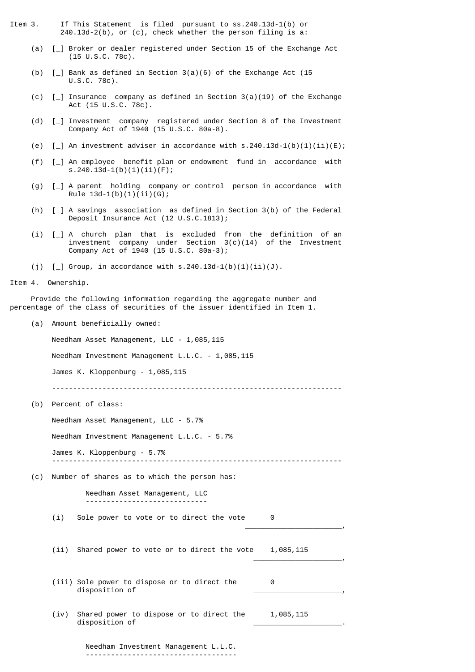- Item 3. If This Statement is filed pursuant to ss.240.13d-1(b) or 240.13d-2(b), or (c), check whether the person filing is a:
	- (a) [\_] Broker or dealer registered under Section 15 of the Exchange Act (15 U.S.C. 78c).
	- (b) [\_] Bank as defined in Section 3(a)(6) of the Exchange Act (15 U.S.C. 78c).
	- (c)  $\Box$  Insurance company as defined in Section 3(a)(19) of the Exchange Act (15 U.S.C. 78c).
	- (d) [\_] Investment company registered under Section 8 of the Investment Company Act of 1940 (15 U.S.C. 80a-8).
	- (e)  $\lceil$  | An investment adviser in accordance with s.240.13d-1(b)(1)(ii)(E);
	- (f) [\_] An employee benefit plan or endowment fund in accordance with s.240.13d-1(b)(1)(ii)(F);
	- (g) [\_] A parent holding company or control person in accordance with Rule  $13d-1(b)(1)(ii)(G);$
	- (h) [\_] A savings association as defined in Section 3(b) of the Federal Deposit Insurance Act (12 U.S.C.1813);
- (i) [\_] A church plan that is excluded from the definition of an investment company under Section 3(c)(14) of the Investment Company Act of 1940 (15 U.S.C. 80a-3);
	- (j)  $[-]$  Group, in accordance with s.240.13d-1(b)(1)(ii)(J).
- Item 4. Ownership.

 Provide the following information regarding the aggregate number and percentage of the class of securities of the issuer identified in Item 1.

(a) Amount beneficially owned:

Needham Asset Management, LLC - 1,085,115

Needham Investment Management L.L.C. - 1,085,115

James K. Kloppenburg - 1,085,115

---------------------------------------------------------------------

(b) Percent of class:

Needham Asset Management, LLC - 5.7%

Needham Investment Management L.L.C. - 5.7%

 James K. Kloppenburg - 5.7% ---------------------------------------------------------------------

(c) Number of shares as to which the person has:

 Needham Asset Management, LLC -----------------------------

(i) Sole power to vote or to direct the vote 0

(ii) Shared power to vote or to direct the vote 1,085,115  $\overline{\phantom{a}}$  , and the contract of the contract of the contract of the contract of the contract of the contract of the contract of the contract of the contract of the contract of the contract of the contract of the contrac

 $\overline{\phantom{a}}$  , and the contract of the contract of the contract of the contract of the contract of the contract of the contract of the contract of the contract of the contract of the contract of the contract of the contrac

- (iii) Sole power to dispose or to direct the 0 disposition of \_\_\_\_\_\_\_\_\_\_\_\_\_\_\_\_\_\_\_\_\_,
- (iv) Shared power to dispose or to direct the 1,085,115 disposition of \_\_\_\_\_\_\_\_\_\_\_\_\_\_\_\_\_\_\_\_\_.

 Needham Investment Management L.L.C. ------------------------------------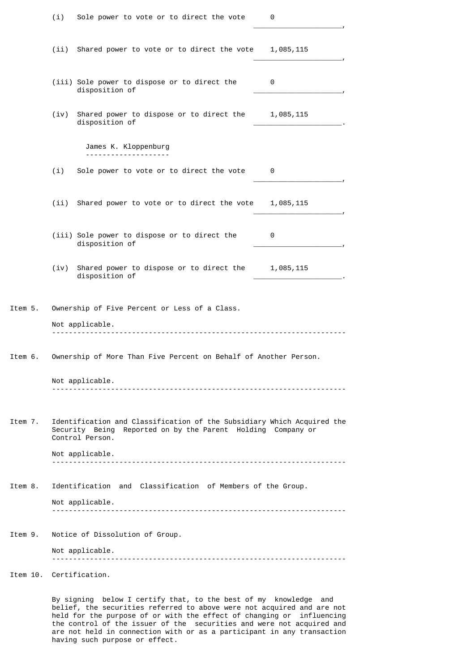|         | (i)                                                                                                                                                      | Sole power to vote or to direct the vote                                        | 0                   |  |
|---------|----------------------------------------------------------------------------------------------------------------------------------------------------------|---------------------------------------------------------------------------------|---------------------|--|
|         |                                                                                                                                                          | (ii) Shared power to vote or to direct the vote 1,085,115                       |                     |  |
|         |                                                                                                                                                          | (iii) Sole power to dispose or to direct the<br>disposition of                  | 0                   |  |
|         | (iv)                                                                                                                                                     | Shared power to dispose or to direct the 1,085,115<br>disposition of            |                     |  |
|         |                                                                                                                                                          | James K. Kloppenburg                                                            |                     |  |
|         | (i)                                                                                                                                                      | Sole power to vote or to direct the vote                                        | 0                   |  |
|         |                                                                                                                                                          | (ii) Shared power to vote or to direct the vote                                 | 1,085,115           |  |
|         |                                                                                                                                                          | (iii) Sole power to dispose or to direct the<br>disposition of                  | 0                   |  |
|         | (iv)                                                                                                                                                     | Shared power to dispose or to direct the 1,085,115<br>disposition of            |                     |  |
| Item 5. |                                                                                                                                                          | Ownership of Five Percent or Less of a Class.                                   |                     |  |
|         |                                                                                                                                                          | Not applicable.                                                                 |                     |  |
| Item 6. | Ownership of More Than Five Percent on Behalf of Another Person.                                                                                         |                                                                                 |                     |  |
|         |                                                                                                                                                          | Not applicable.                                                                 |                     |  |
| Item 7. | Identification and Classification of the Subsidiary Which Acquired the<br>Security Being Reported on by the Parent Holding Company or<br>Control Person. |                                                                                 |                     |  |
|         |                                                                                                                                                          | Not applicable.                                                                 |                     |  |
|         |                                                                                                                                                          |                                                                                 |                     |  |
| Item 8. | Identification and Classification of Members of the Group.<br>Not applicable.                                                                            |                                                                                 |                     |  |
|         |                                                                                                                                                          |                                                                                 |                     |  |
| Item 9. | Notice of Dissolution of Group.                                                                                                                          |                                                                                 |                     |  |
|         |                                                                                                                                                          | Not applicable.                                                                 |                     |  |
|         |                                                                                                                                                          | Item 10.  Certification.                                                        |                     |  |
|         |                                                                                                                                                          | $h \circ l \circ u$ , $\tau$ , $\circ \circ r + i \in u$<br>$+h$ ot to the heet | of my knowledge and |  |

 By signing below I certify that, to the best of my knowledge and belief, the securities referred to above were not acquired and are not held for the purpose of or with the effect of changing or influencing the control of the issuer of the securities and were not acquired and are not held in connection with or as a participant in any transaction having such purpose or effect.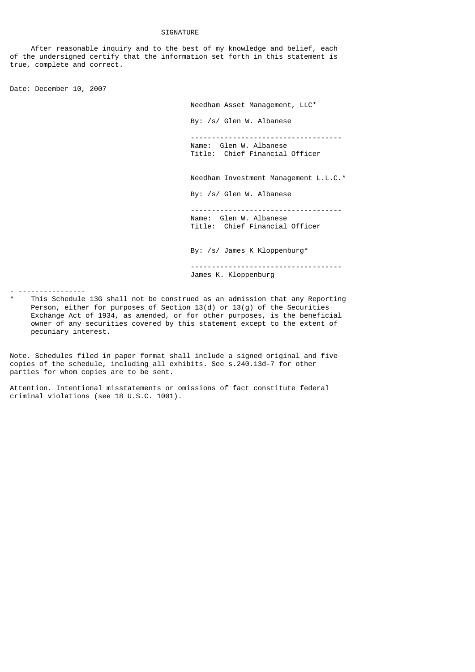## **SIGNATURE**

 After reasonable inquiry and to the best of my knowledge and belief, each of the undersigned certify that the information set forth in this statement is true, complete and correct.

Date: December 10, 2007

Needham Asset Management, LLC\*

By: /s/ Glen W. Albanese

 ------------------------------------ Name: Glen W. Albanese Title: Chief Financial Officer

Needham Investment Management L.L.C.\*

By: /s/ Glen W. Albanese

 ------------------------------------ Name: Glen W. Albanese Title: Chief Financial Officer

By: /s/ James K Kloppenburg\*

 ------------------------------------ James K. Kloppenburg

- ----------------

This Schedule 13G shall not be construed as an admission that any Reporting Person, either for purposes of Section 13(d) or 13(g) of the Securities Exchange Act of 1934, as amended, or for other purposes, is the beneficial owner of any securities covered by this statement except to the extent of pecuniary interest.

Note. Schedules filed in paper format shall include a signed original and five copies of the schedule, including all exhibits. See s.240.13d-7 for other parties for whom copies are to be sent.

Attention. Intentional misstatements or omissions of fact constitute federal criminal violations (see 18 U.S.C. 1001).